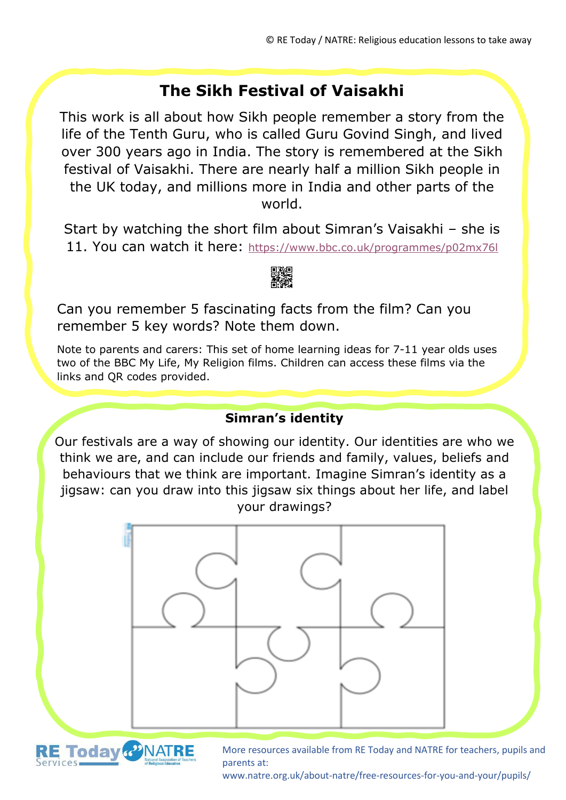# **The Sikh Festival of Vaisakhi**

This work is all about how Sikh people remember a story from the life of the Tenth Guru, who is called Guru Govind Singh, and lived over 300 years ago in India. The story is remembered at the Sikh festival of Vaisakhi. There are nearly half a million Sikh people in the UK today, and millions more in India and other parts of the world.

Start by watching the short film about Simran's Vaisakhi – she is 11. You can watch it here: <https://www.bbc.co.uk/programmes/p02mx76l>



Can you remember 5 fascinating facts from the film? Can you remember 5 key words? Note them down.

Note to parents and carers: This set of home learning ideas for 7-11 year olds uses two of the BBC My Life, My Religion films. Children can access these films via the links and QR codes provided.

#### **Simran's identity**

Our festivals are a way of showing our identity. Our identities are who we think we are, and can include our friends and family, values, beliefs and behaviours that we think are important. Imagine Simran's identity as a jigsaw: can you draw into this jigsaw six things about her life, and label your drawings?





More resources available from RE Today and NATRE for teachers, pupils and parents at:

www.natre.org.uk/about-natre/free-resources-for-you-and-your/pupils/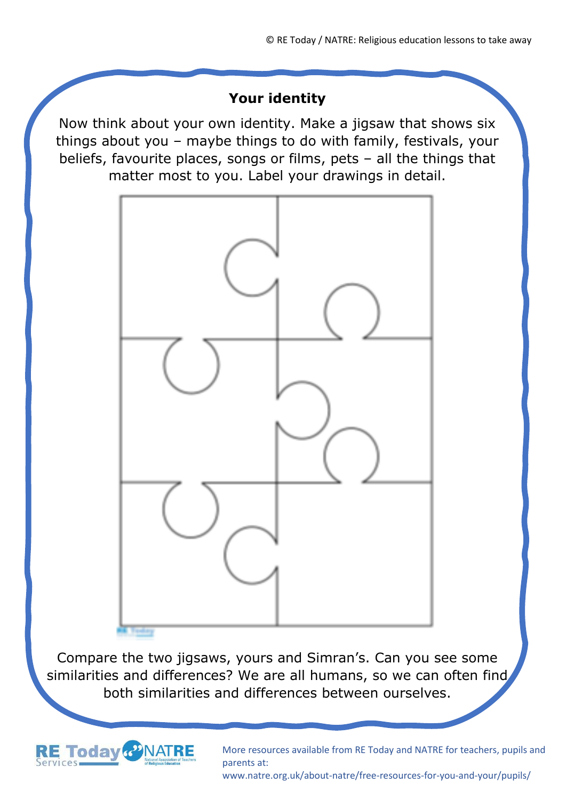#### **Your identity**

Now think about your own identity. Make a jigsaw that shows six things about you – maybe things to do with family, festivals, your beliefs, favourite places, songs or films, pets – all the things that matter most to you. Label your drawings in detail.



Compare the two jigsaws, yours and Simran's. Can you see some similarities and differences? We are all humans, so we can often find, both similarities and differences between ourselves.



More resources available from RE Today and NATRE for teachers, pupils and parents at:

www.natre.org.uk/about-natre/free-resources-for-you-and-your/pupils/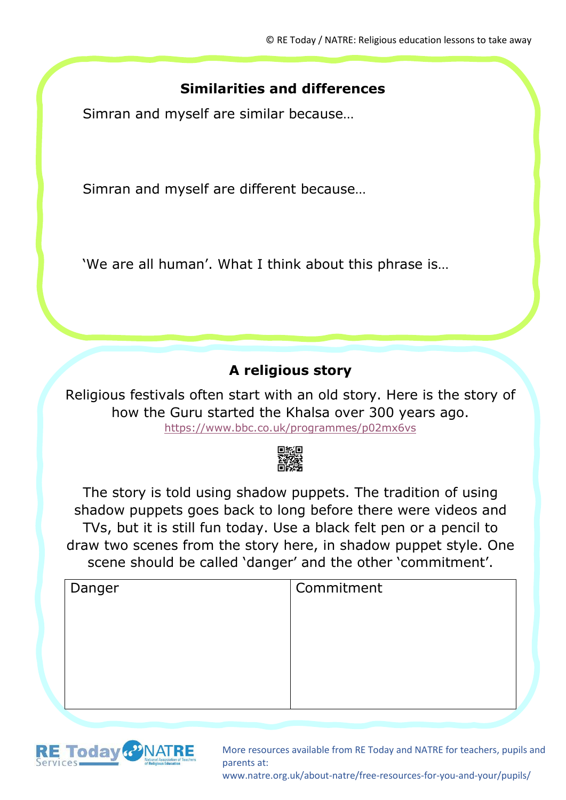## **Similarities and differences**

Simran and myself are similar because…

Simran and myself are different because…

'We are all human'. What I think about this phrase is…

## **A religious story**

Religious festivals often start with an old story. Here is the story of how the Guru started the Khalsa over 300 years ago. <https://www.bbc.co.uk/programmes/p02mx6vs>



The story is told using shadow puppets. The tradition of using shadow puppets goes back to long before there were videos and TVs, but it is still fun today. Use a black felt pen or a pencil to draw two scenes from the story here, in shadow puppet style. One scene should be called 'danger' and the other 'commitment'.

| Danger | Commitment |
|--------|------------|
|        |            |
|        |            |
|        |            |
|        |            |
|        |            |



More resources available from RE Today and NATRE for teachers, pupils and parents at:

www.natre.org.uk/about-natre/free-resources-for-you-and-your/pupils/